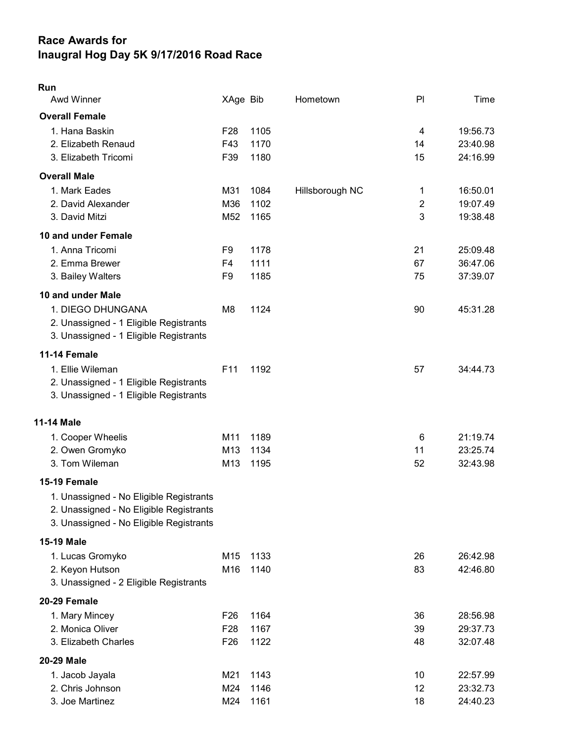## Race Awards for Inaugral Hog Day 5K 9/17/2016 Road Race

## Run

| <b>Awd Winner</b>                       | XAge Bib        |      | Hometown        | PI             | Time     |
|-----------------------------------------|-----------------|------|-----------------|----------------|----------|
| <b>Overall Female</b>                   |                 |      |                 |                |          |
| 1. Hana Baskin                          | F <sub>28</sub> | 1105 |                 | 4              | 19:56.73 |
| 2. Elizabeth Renaud                     | F43             | 1170 |                 | 14             | 23:40.98 |
| 3. Elizabeth Tricomi                    | F39             | 1180 |                 | 15             | 24:16.99 |
| <b>Overall Male</b>                     |                 |      |                 |                |          |
| 1. Mark Eades                           | M31             | 1084 | Hillsborough NC | 1              | 16:50.01 |
| 2. David Alexander                      | M36             | 1102 |                 | $\overline{2}$ | 19:07.49 |
| 3. David Mitzi                          | M <sub>52</sub> | 1165 |                 | 3              | 19:38.48 |
| 10 and under Female                     |                 |      |                 |                |          |
| 1. Anna Tricomi                         | F9              | 1178 |                 | 21             | 25:09.48 |
| 2. Emma Brewer                          | F <sub>4</sub>  | 1111 |                 | 67             | 36:47.06 |
| 3. Bailey Walters                       | F <sub>9</sub>  | 1185 |                 | 75             | 37:39.07 |
| 10 and under Male                       |                 |      |                 |                |          |
| 1. DIEGO DHUNGANA                       | M8              | 1124 |                 | 90             | 45:31.28 |
| 2. Unassigned - 1 Eligible Registrants  |                 |      |                 |                |          |
| 3. Unassigned - 1 Eligible Registrants  |                 |      |                 |                |          |
| 11-14 Female                            |                 |      |                 |                |          |
| 1. Ellie Wileman                        | F11             | 1192 |                 | 57             | 34:44.73 |
| 2. Unassigned - 1 Eligible Registrants  |                 |      |                 |                |          |
| 3. Unassigned - 1 Eligible Registrants  |                 |      |                 |                |          |
| 11-14 Male                              |                 |      |                 |                |          |
|                                         | M11             | 1189 |                 | 6              | 21:19.74 |
| 1. Cooper Wheelis<br>2. Owen Gromyko    | M13             | 1134 |                 | 11             | 23:25.74 |
| 3. Tom Wileman                          | M13             | 1195 |                 | 52             | 32:43.98 |
|                                         |                 |      |                 |                |          |
| 15-19 Female                            |                 |      |                 |                |          |
| 1. Unassigned - No Eligible Registrants |                 |      |                 |                |          |
| 2. Unassigned - No Eligible Registrants |                 |      |                 |                |          |
| 3. Unassigned - No Eligible Registrants |                 |      |                 |                |          |
| 15-19 Male                              |                 |      |                 |                |          |
| 1. Lucas Gromyko                        | M15             | 1133 |                 | 26             | 26:42.98 |
| 2. Keyon Hutson                         | M16             | 1140 |                 | 83             | 42:46.80 |
| 3. Unassigned - 2 Eligible Registrants  |                 |      |                 |                |          |
| 20-29 Female                            |                 |      |                 |                |          |
| 1. Mary Mincey                          | F <sub>26</sub> | 1164 |                 | 36             | 28:56.98 |
| 2. Monica Oliver                        | F <sub>28</sub> | 1167 |                 | 39             | 29:37.73 |
| 3. Elizabeth Charles                    | F <sub>26</sub> | 1122 |                 | 48             | 32:07.48 |
| <b>20-29 Male</b>                       |                 |      |                 |                |          |
| 1. Jacob Jayala                         | M21             | 1143 |                 | 10             | 22:57.99 |
| 2. Chris Johnson                        | M24             | 1146 |                 | 12             | 23:32.73 |
| 3. Joe Martinez                         | M24             | 1161 |                 | 18             | 24:40.23 |